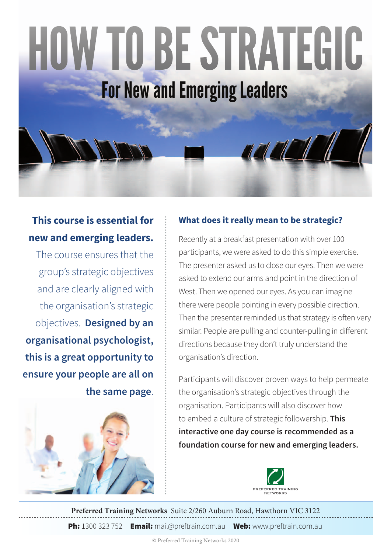# For New and Emerging Leaders HOW TO BE STRATEGIC

# **This course is essential for new and emerging leaders.**

The course ensures that the group's strategic objectives and are clearly aligned with the organisation's strategic objectives. **Designed by an organisational psychologist, this is a great opportunity to ensure your people are all on the same page**.



## **What does it really mean to be strategic?**

Recently at a breakfast presentation with over 100 participants, we were asked to do this simple exercise. The presenter asked us to close our eyes. Then we were asked to extend our arms and point in the direction of West. Then we opened our eyes. As you can imagine there were people pointing in every possible direction. Then the presenter reminded us that strategy is often very similar. People are pulling and counter-pulling in different directions because they don't truly understand the organisation's direction.

Participants will discover proven ways to help permeate the organisation's strategic objectives through the organisation. Participants will also discover how to embed a culture of strategic followership. **This interactive one day course is recommended as a foundation course for new and emerging leaders.**



**Preferred Training Networks** Suite 2/260 Auburn Road, Hawthorn VIC 3122 **Ph:** 1300 323 752 **Email:** mail@preftrain.com.au **Web:** www.preftrain.com.au